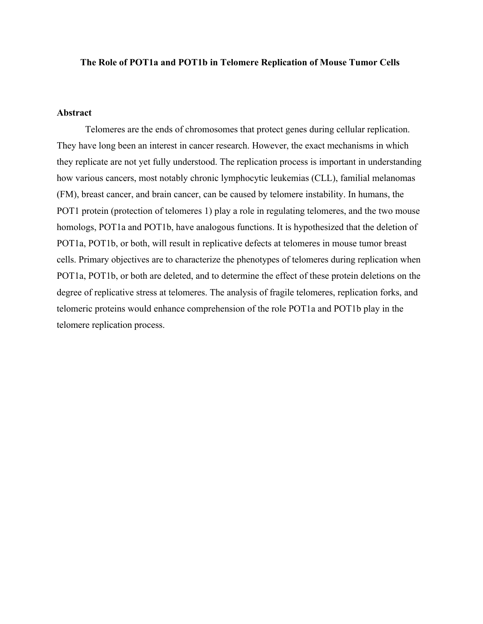#### **The Role of POT1a and POT1b in Telomere Replication of Mouse Tumor Cells**

## **Abstract**

Telomeres are the ends of chromosomes that protect genes during cellular replication. They have long been an interest in cancer research. However, the exact mechanisms in which they replicate are not yet fully understood. The replication process is important in understanding how various cancers, most notably chronic lymphocytic leukemias (CLL), familial melanomas (FM), breast cancer, and brain cancer, can be caused by telomere instability. In humans, the POT1 protein (protection of telomeres 1) play a role in regulating telomeres, and the two mouse homologs, POT1a and POT1b, have analogous functions. It is hypothesized that the deletion of POT1a, POT1b, or both, will result in replicative defects at telomeres in mouse tumor breast cells. Primary objectives are to characterize the phenotypes of telomeres during replication when POT1a, POT1b, or both are deleted, and to determine the effect of these protein deletions on the degree of replicative stress at telomeres. The analysis of fragile telomeres, replication forks, and telomeric proteins would enhance comprehension of the role POT1a and POT1b play in the telomere replication process.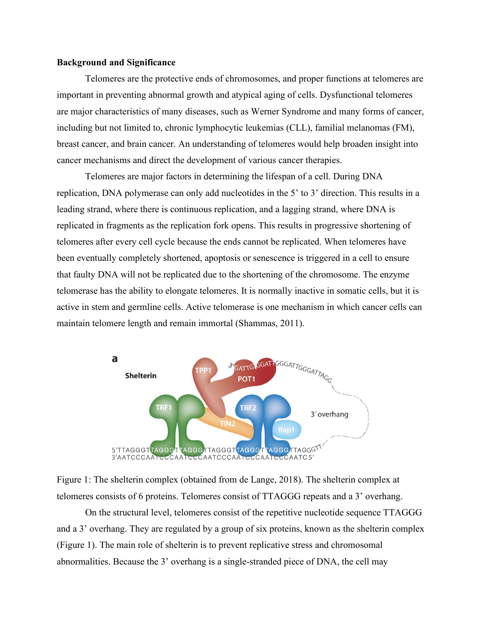### **Background and Significance**

Telomeres are the protective ends of chromosomes, and proper functions at telomeres are important in preventing abnormal growth and atypical aging of cells. Dysfunctional telomeres are major characteristics of many diseases, such as Werner Syndrome and many forms of cancer, including but not limited to, chronic lymphocytic leukemias (CLL), familial melanomas (FM), breast cancer, and brain cancer. An understanding of telomeres would help broaden insight into cancer mechanisms and direct the development of various cancer therapies.

Telomeres are major factors in determining the lifespan of a cell. During DNA replication, DNA polymerase can only add nucleotides in the 5' to 3' direction. This results in a leading strand, where there is continuous replication, and a lagging strand, where DNA is replicated in fragments as the replication fork opens. This results in progressive shortening of telomeres after every cell cycle because the ends cannot be replicated. When telomeres have been eventually completely shortened, apoptosis or senescence is triggered in a cell to ensure that faulty DNA will not be replicated due to the shortening of the chromosome. The enzyme telomerase has the ability to elongate telomeres. It is normally inactive in somatic cells, but it is active in stem and germline cells. Active telomerase is one mechanism in which cancer cells can maintain telomere length and remain immortal (Shammas, 2011).



Figure 1: The shelterin complex (obtained from de Lange, 2018). The shelterin complex at telomeres consists of 6 proteins. Telomeres consist of TTAGGG repeats and a 3' overhang.

On the structural level, telomeres consist of the repetitive nucleotide sequence TTAGGG and a 3' overhang. They are regulated by a group of six proteins, known as the shelterin complex (Figure 1). The main role of shelterin is to prevent replicative stress and chromosomal abnormalities. Because the 3' overhang is a single-stranded piece of DNA, the cell may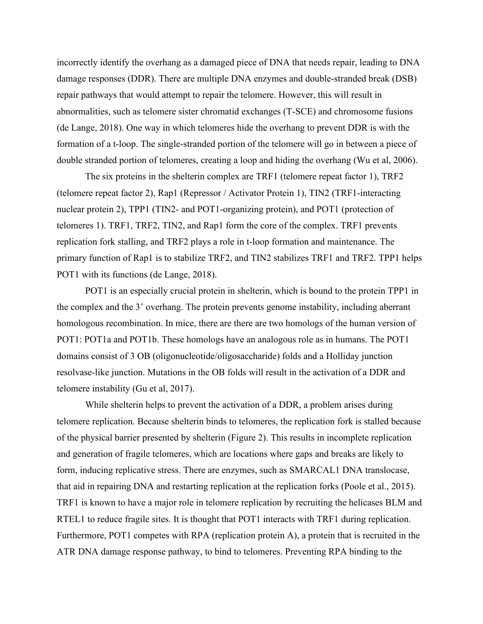incorrectly identify the overhang as a damaged piece of DNA that needs repair, leading to DNA damage responses (DDR). There are multiple DNA enzymes and double-stranded break (DSB) repair pathways that would attempt to repair the telomere. However, this will result in abnormalities, such as telomere sister chromatid exchanges (T-SCE) and chromosome fusions (de Lange, 2018). One way in which telomeres hide the overhang to prevent DDR is with the formation of a t-loop. The single-stranded portion of the telomere will go in between a piece of double stranded portion of telomeres, creating a loop and hiding the overhang (Wu et al, 2006).

The six proteins in the shelterin complex are TRF1 (telomere repeat factor 1), TRF2 (telomere repeat factor 2), Rap1 (Repressor / Activator Protein 1), TIN2 (TRF1-interacting nuclear protein 2), TPP1 (TIN2- and POT1-organizing protein), and POT1 (protection of telomeres 1). TRF1, TRF2, TIN2, and Rap1 form the core of the complex. TRF1 prevents replication fork stalling, and TRF2 plays a role in t-loop formation and maintenance. The primary function of Rap1 is to stabilize TRF2, and TIN2 stabilizes TRF1 and TRF2. TPP1 helps POT1 with its functions (de Lange, 2018).

POT1 is an especially crucial protein in shelterin, which is bound to the protein TPP1 in the complex and the 3' overhang. The protein prevents genome instability, including aberrant homologous recombination. In mice, there are there are two homologs of the human version of POT1: POT1a and POT1b. These homologs have an analogous role as in humans. The POT1 domains consist of 3 OB (oligonucleotide/oligosaccharide) folds and a Holliday junction resolvase-like junction. Mutations in the OB folds will result in the activation of a DDR and telomere instability (Gu et al, 2017).

While shelterin helps to prevent the activation of a DDR, a problem arises during telomere replication. Because shelterin binds to telomeres, the replication fork is stalled because of the physical barrier presented by shelterin (Figure 2). This results in incomplete replication and generation of fragile telomeres, which are locations where gaps and breaks are likely to form, inducing replicative stress. There are enzymes, such as SMARCAL1 DNA translocase, that aid in repairing DNA and restarting replication at the replication forks (Poole et al., 2015). TRF1 is known to have a major role in telomere replication by recruiting the helicases BLM and RTEL1 to reduce fragile sites. It is thought that POT1 interacts with TRF1 during replication. Furthermore, POT1 competes with RPA (replication protein A), a protein that is recruited in the ATR DNA damage response pathway, to bind to telomeres. Preventing RPA binding to the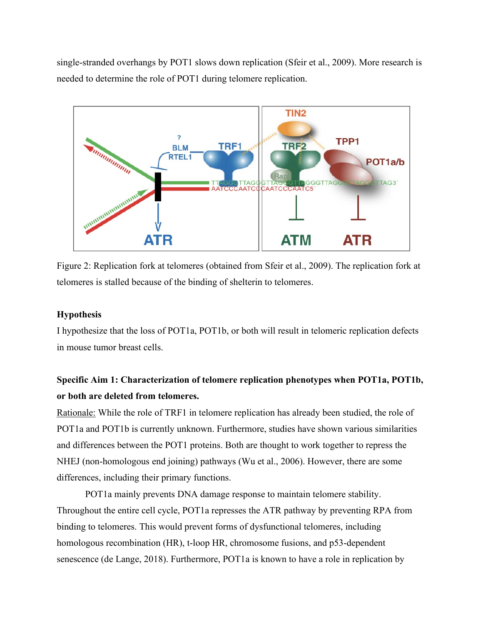single-stranded overhangs by POT1 slows down replication (Sfeir et al., 2009). More research is needed to determine the role of POT1 during telomere replication.



Figure 2: Replication fork at telomeres (obtained from Sfeir et al., 2009). The replication fork at telomeres is stalled because of the binding of shelterin to telomeres.

## **Hypothesis**

I hypothesize that the loss of POT1a, POT1b, or both will result in telomeric replication defects in mouse tumor breast cells.

# **Specific Aim 1: Characterization of telomere replication phenotypes when POT1a, POT1b, or both are deleted from telomeres.**

Rationale: While the role of TRF1 in telomere replication has already been studied, the role of POT1a and POT1b is currently unknown. Furthermore, studies have shown various similarities and differences between the POT1 proteins. Both are thought to work together to repress the NHEJ (non-homologous end joining) pathways (Wu et al., 2006). However, there are some differences, including their primary functions.

POT1a mainly prevents DNA damage response to maintain telomere stability. Throughout the entire cell cycle, POT1a represses the ATR pathway by preventing RPA from binding to telomeres. This would prevent forms of dysfunctional telomeres, including homologous recombination (HR), t-loop HR, chromosome fusions, and p53-dependent senescence (de Lange, 2018). Furthermore, POT1a is known to have a role in replication by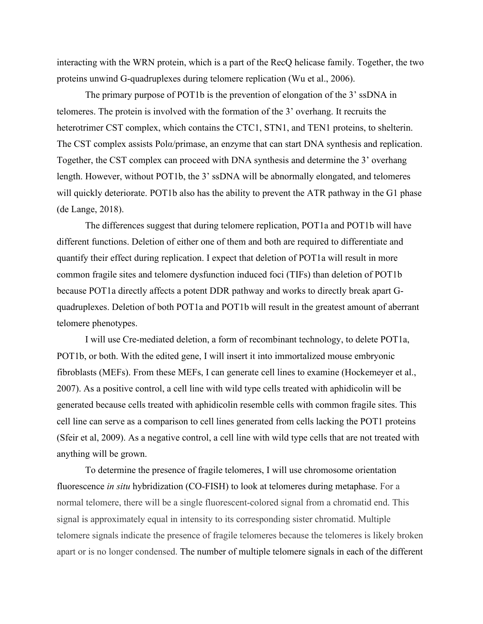interacting with the WRN protein, which is a part of the RecQ helicase family. Together, the two proteins unwind G-quadruplexes during telomere replication (Wu et al., 2006).

The primary purpose of POT1b is the prevention of elongation of the 3' ssDNA in telomeres. The protein is involved with the formation of the 3' overhang. It recruits the heterotrimer CST complex, which contains the CTC1, STN1, and TEN1 proteins, to shelterin. The CST complex assists Pola/primase, an enzyme that can start DNA synthesis and replication. Together, the CST complex can proceed with DNA synthesis and determine the 3' overhang length. However, without POT1b, the 3' ssDNA will be abnormally elongated, and telomeres will quickly deteriorate. POT1b also has the ability to prevent the ATR pathway in the G1 phase (de Lange, 2018).

The differences suggest that during telomere replication, POT1a and POT1b will have different functions. Deletion of either one of them and both are required to differentiate and quantify their effect during replication. I expect that deletion of POT1a will result in more common fragile sites and telomere dysfunction induced foci (TIFs) than deletion of POT1b because POT1a directly affects a potent DDR pathway and works to directly break apart Gquadruplexes. Deletion of both POT1a and POT1b will result in the greatest amount of aberrant telomere phenotypes.

I will use Cre-mediated deletion, a form of recombinant technology, to delete POT1a, POT1b, or both. With the edited gene, I will insert it into immortalized mouse embryonic fibroblasts (MEFs). From these MEFs, I can generate cell lines to examine (Hockemeyer et al., 2007). As a positive control, a cell line with wild type cells treated with aphidicolin will be generated because cells treated with aphidicolin resemble cells with common fragile sites. This cell line can serve as a comparison to cell lines generated from cells lacking the POT1 proteins (Sfeir et al, 2009). As a negative control, a cell line with wild type cells that are not treated with anything will be grown.

 To determine the presence of fragile telomeres, I will use chromosome orientation fluorescence *in situ* hybridization (CO-FISH) to look at telomeres during metaphase. For a normal telomere, there will be a single fluorescent-colored signal from a chromatid end. This signal is approximately equal in intensity to its corresponding sister chromatid. Multiple telomere signals indicate the presence of fragile telomeres because the telomeres is likely broken apart or is no longer condensed. The number of multiple telomere signals in each of the different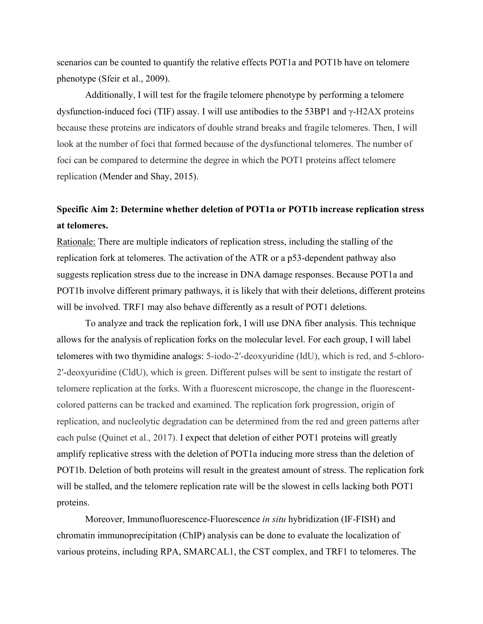scenarios can be counted to quantify the relative effects POT1a and POT1b have on telomere phenotype (Sfeir et al., 2009).

 Additionally, I will test for the fragile telomere phenotype by performing a telomere dysfunction-induced foci (TIF) assay. I will use antibodies to the 53BP1 and  $γ$ -H2AX proteins because these proteins are indicators of double strand breaks and fragile telomeres. Then, I will look at the number of foci that formed because of the dysfunctional telomeres. The number of foci can be compared to determine the degree in which the POT1 proteins affect telomere replication (Mender and Shay, 2015).

# **Specific Aim 2: Determine whether deletion of POT1a or POT1b increase replication stress at telomeres.**

Rationale: There are multiple indicators of replication stress, including the stalling of the replication fork at telomeres. The activation of the ATR or a p53-dependent pathway also suggests replication stress due to the increase in DNA damage responses. Because POT1a and POT1b involve different primary pathways, it is likely that with their deletions, different proteins will be involved. TRF1 may also behave differently as a result of POT1 deletions.

To analyze and track the replication fork, I will use DNA fiber analysis. This technique allows for the analysis of replication forks on the molecular level. For each group, I will label telomeres with two thymidine analogs: 5-iodo-2′-deoxyuridine (IdU), which is red, and 5-chloro-2′-deoxyuridine (CldU), which is green. Different pulses will be sent to instigate the restart of telomere replication at the forks. With a fluorescent microscope, the change in the fluorescentcolored patterns can be tracked and examined. The replication fork progression, origin of replication, and nucleolytic degradation can be determined from the red and green patterns after each pulse (Quinet et al., 2017). I expect that deletion of either POT1 proteins will greatly amplify replicative stress with the deletion of POT1a inducing more stress than the deletion of POT1b. Deletion of both proteins will result in the greatest amount of stress. The replication fork will be stalled, and the telomere replication rate will be the slowest in cells lacking both POT1 proteins.

Moreover, Immunofluorescence-Fluorescence *in situ* hybridization (IF-FISH) and chromatin immunoprecipitation (ChIP) analysis can be done to evaluate the localization of various proteins, including RPA, SMARCAL1, the CST complex, and TRF1 to telomeres. The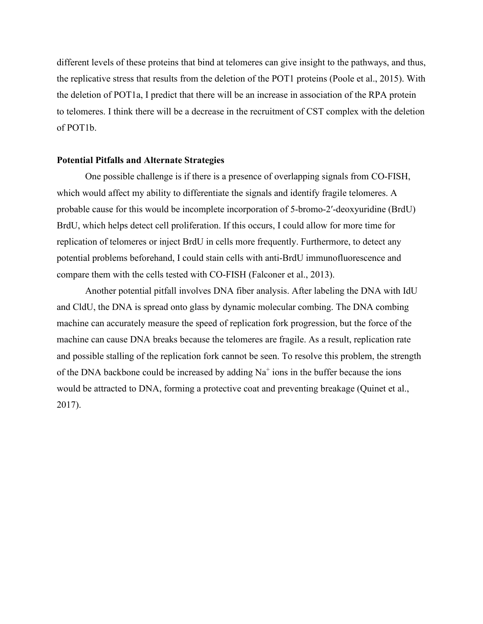different levels of these proteins that bind at telomeres can give insight to the pathways, and thus, the replicative stress that results from the deletion of the POT1 proteins (Poole et al., 2015). With the deletion of POT1a, I predict that there will be an increase in association of the RPA protein to telomeres. I think there will be a decrease in the recruitment of CST complex with the deletion of POT1b.

#### **Potential Pitfalls and Alternate Strategies**

One possible challenge is if there is a presence of overlapping signals from CO-FISH, which would affect my ability to differentiate the signals and identify fragile telomeres. A probable cause for this would be incomplete incorporation of 5-bromo-2′-deoxyuridine (BrdU) BrdU, which helps detect cell proliferation. If this occurs, I could allow for more time for replication of telomeres or inject BrdU in cells more frequently. Furthermore, to detect any potential problems beforehand, I could stain cells with anti-BrdU immunofluorescence and compare them with the cells tested with CO-FISH (Falconer et al., 2013).

Another potential pitfall involves DNA fiber analysis. After labeling the DNA with IdU and CldU, the DNA is spread onto glass by dynamic molecular combing. The DNA combing machine can accurately measure the speed of replication fork progression, but the force of the machine can cause DNA breaks because the telomeres are fragile. As a result, replication rate and possible stalling of the replication fork cannot be seen. To resolve this problem, the strength of the DNA backbone could be increased by adding  $Na<sup>+</sup>$  ions in the buffer because the ions would be attracted to DNA, forming a protective coat and preventing breakage (Quinet et al., 2017).